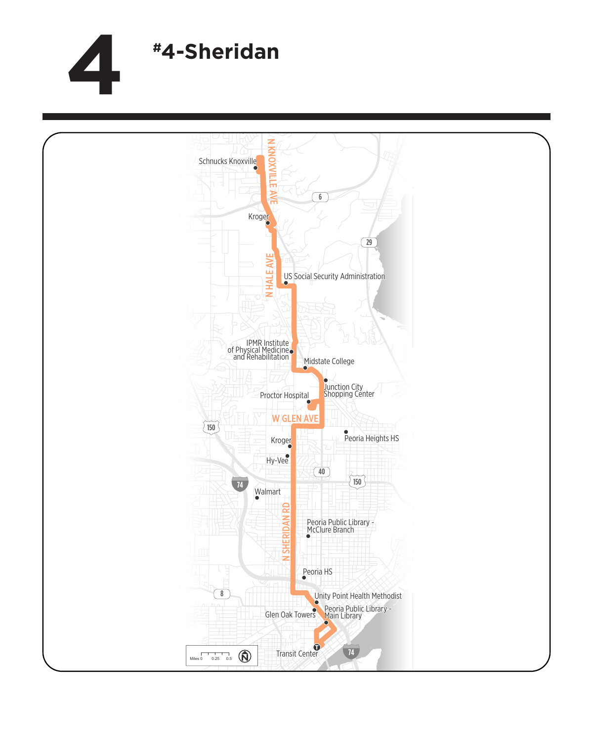